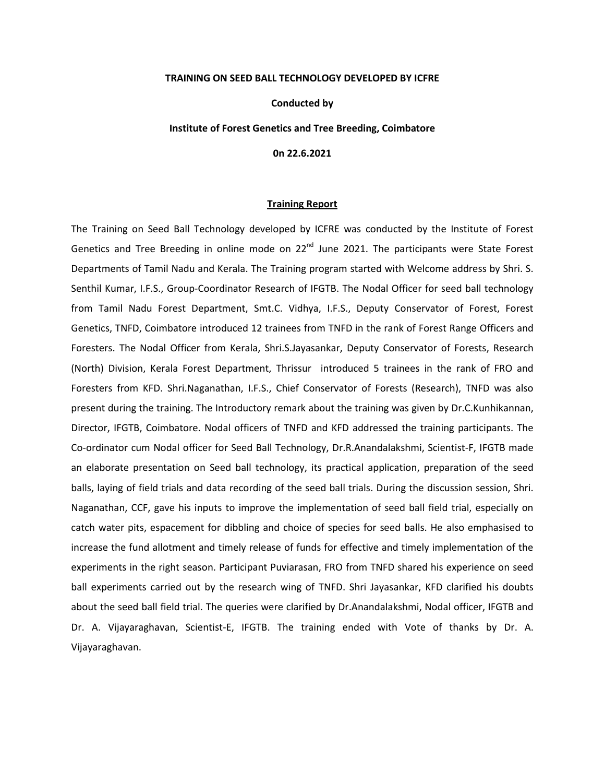#### **TRAINING ON SEED BALL TECHNOLOGY DEVELOPED BY ICFRE**

# **Conducted by**

## **Institute of Forest Genetics and Tree Breeding, Coimbatore**

### **0n 22.6.2021**

#### **Training Report**

The Training on Seed Ball Technology developed by ICFRE was conducted by the Institute of Forest Genetics and Tree Breeding in online mode on  $22^{nd}$  June 2021. The participants were State Forest Departments of Tamil Nadu and Kerala. The Training program started with Welcome address by Shri. S. Senthil Kumar, I.F.S., Group-Coordinator Research of IFGTB. The Nodal Officer for seed ball technology from Tamil Nadu Forest Department, Smt.C. Vidhya, I.F.S., Deputy Conservator of Forest, Forest Genetics, TNFD, Coimbatore introduced 12 trainees from TNFD in the rank of Forest Range Officers and Foresters. The Nodal Officer from Kerala, Shri.S.Jayasankar, Deputy Conservator of Forests, Research (North) Division, Kerala Forest Department, Thrissur introduced 5 trainees in the rank of FRO and Foresters from KFD. Shri.Naganathan, I.F.S., Chief Conservator of Forests (Research), TNFD was also present during the training. The Introductory remark about the training was given by Dr.C.Kunhikannan, Director, IFGTB, Coimbatore. Nodal officers of TNFD and KFD addressed the training participants. The Co-ordinator cum Nodal officer for Seed Ball Technology, Dr.R.Anandalakshmi, Scientist-F, IFGTB made an elaborate presentation on Seed ball technology, its practical application, preparation of the seed balls, laying of field trials and data recording of the seed ball trials. During the discussion session, Shri. Naganathan, CCF, gave his inputs to improve the implementation of seed ball field trial, especially on catch water pits, espacement for dibbling and choice of species for seed balls. He also emphasised to increase the fund allotment and timely release of funds for effective and timely implementation of the experiments in the right season. Participant Puviarasan, FRO from TNFD shared his experience on seed ball experiments carried out by the research wing of TNFD. Shri Jayasankar, KFD clarified his doubts about the seed ball field trial. The queries were clarified by Dr.Anandalakshmi, Nodal officer, IFGTB and Dr. A. Vijayaraghavan, Scientist-E, IFGTB. The training ended with Vote of thanks by Dr. A. Vijayaraghavan.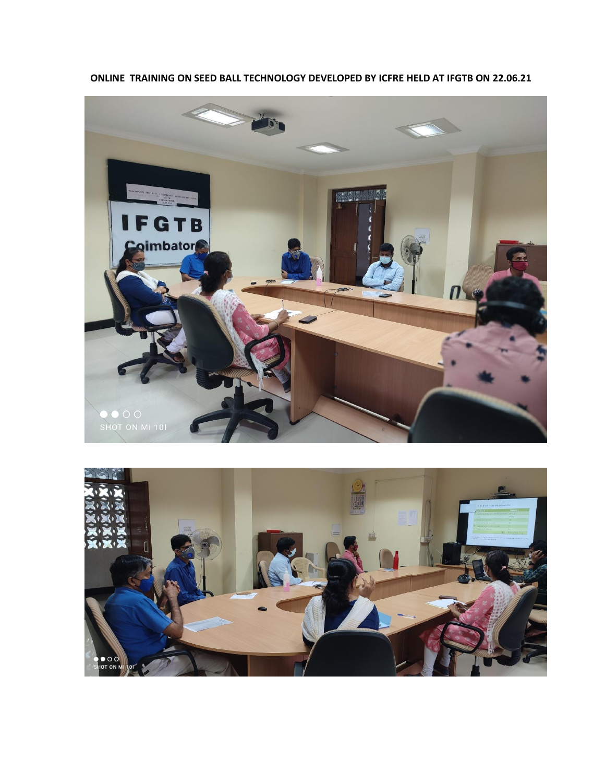



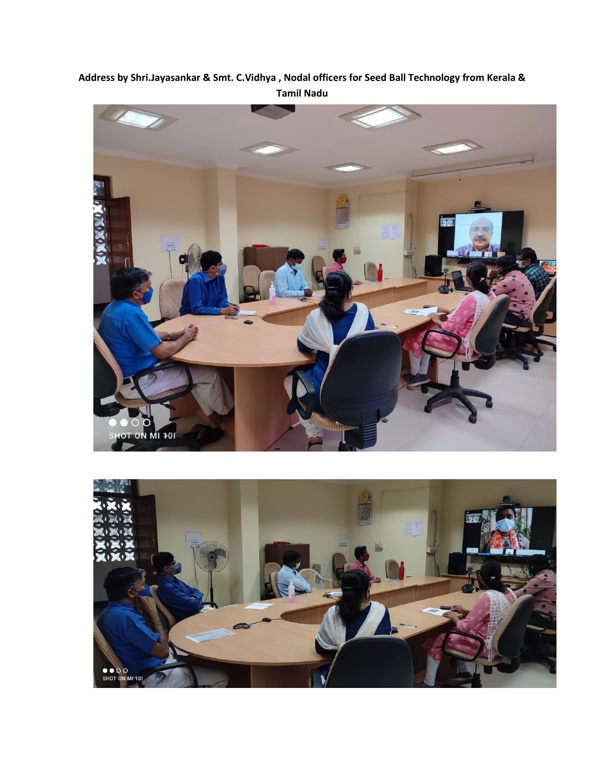# **Address by Shri.Jayasankar & Smt. C.Vidhya , Nodal officers for Seed Ball Technology from Kerala & Tamil Nadu**